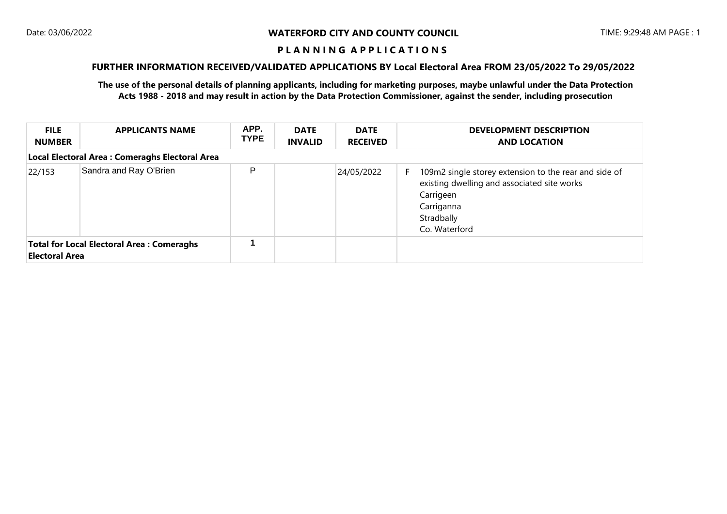## **FURTHER INFORMATION RECEIVED/VALIDATED APPLICATIONS BY Local Electoral Area FROM 23/05/2022 To 29/05/2022**

| <b>FILE</b><br><b>NUMBER</b>                                              | <b>APPLICANTS NAME</b>                         | APP.<br><b>TYPE</b> | <b>DATE</b><br><b>INVALID</b> | <b>DATE</b><br><b>RECEIVED</b> |    | <b>DEVELOPMENT DESCRIPTION</b><br><b>AND LOCATION</b>                                                                                                          |  |  |  |
|---------------------------------------------------------------------------|------------------------------------------------|---------------------|-------------------------------|--------------------------------|----|----------------------------------------------------------------------------------------------------------------------------------------------------------------|--|--|--|
|                                                                           | Local Electoral Area: Comeraghs Electoral Area |                     |                               |                                |    |                                                                                                                                                                |  |  |  |
| 22/153                                                                    | Sandra and Ray O'Brien                         | P                   |                               | 24/05/2022                     | F. | 109m2 single storey extension to the rear and side of<br>existing dwelling and associated site works<br>Carrigeen<br>Carriganna<br>Stradbally<br>Co. Waterford |  |  |  |
| <b>Total for Local Electoral Area: Comeraghs</b><br><b>Electoral Area</b> |                                                |                     |                               |                                |    |                                                                                                                                                                |  |  |  |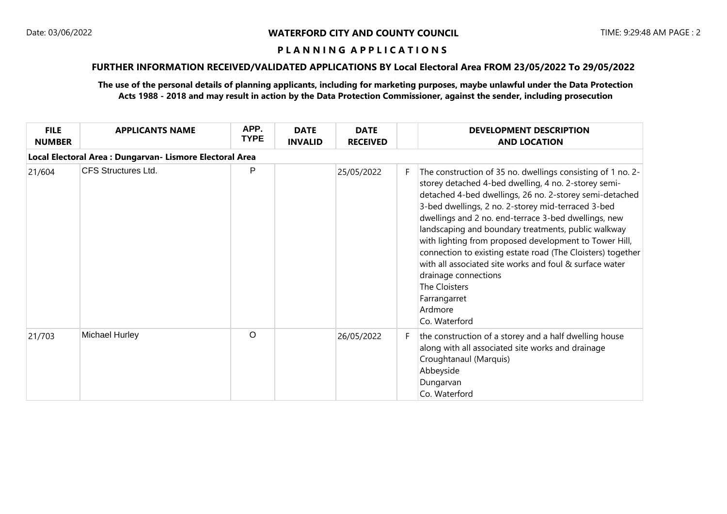# **FURTHER INFORMATION RECEIVED/VALIDATED APPLICATIONS BY Local Electoral Area FROM 23/05/2022 To 29/05/2022**

| <b>FILE</b><br><b>NUMBER</b>                             | <b>APPLICANTS NAME</b>     | APP.<br><b>TYPE</b> | <b>DATE</b><br><b>INVALID</b> | <b>DATE</b><br><b>RECEIVED</b> |    | <b>DEVELOPMENT DESCRIPTION</b><br><b>AND LOCATION</b>                                                                                                                                                                                                                                                                                                                                                                                                                                                                                                                                                                        |  |  |  |
|----------------------------------------------------------|----------------------------|---------------------|-------------------------------|--------------------------------|----|------------------------------------------------------------------------------------------------------------------------------------------------------------------------------------------------------------------------------------------------------------------------------------------------------------------------------------------------------------------------------------------------------------------------------------------------------------------------------------------------------------------------------------------------------------------------------------------------------------------------------|--|--|--|
| Local Electoral Area : Dungarvan- Lismore Electoral Area |                            |                     |                               |                                |    |                                                                                                                                                                                                                                                                                                                                                                                                                                                                                                                                                                                                                              |  |  |  |
| 21/604                                                   | <b>CFS Structures Ltd.</b> | P                   |                               | 25/05/2022                     | F. | The construction of 35 no. dwellings consisting of 1 no. 2-<br>storey detached 4-bed dwelling, 4 no. 2-storey semi-<br>detached 4-bed dwellings, 26 no. 2-storey semi-detached<br>3-bed dwellings, 2 no. 2-storey mid-terraced 3-bed<br>dwellings and 2 no. end-terrace 3-bed dwellings, new<br>landscaping and boundary treatments, public walkway<br>with lighting from proposed development to Tower Hill,<br>connection to existing estate road (The Cloisters) together<br>with all associated site works and foul & surface water<br>drainage connections<br>The Cloisters<br>Farrangarret<br>Ardmore<br>Co. Waterford |  |  |  |
| 21/703                                                   | Michael Hurley             | $\circ$             |                               | 26/05/2022                     | F. | the construction of a storey and a half dwelling house<br>along with all associated site works and drainage<br>Croughtanaul (Marquis)<br>Abbeyside<br>Dungarvan<br>Co. Waterford                                                                                                                                                                                                                                                                                                                                                                                                                                             |  |  |  |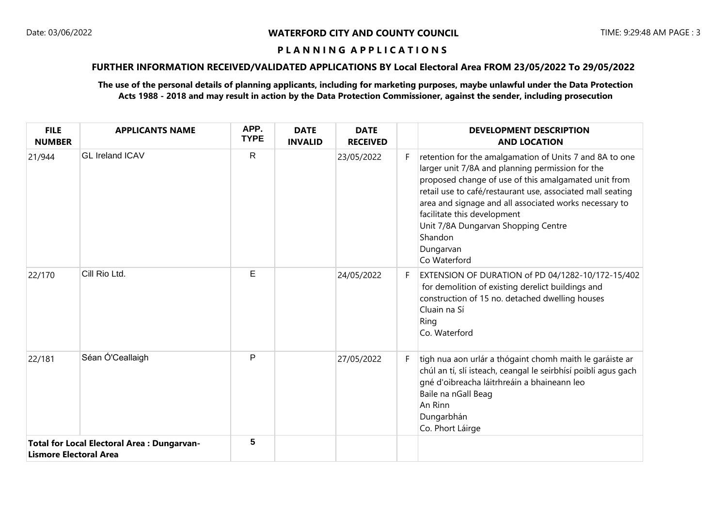# **FURTHER INFORMATION RECEIVED/VALIDATED APPLICATIONS BY Local Electoral Area FROM 23/05/2022 To 29/05/2022**

| <b>FILE</b><br><b>NUMBER</b>                                                       | <b>APPLICANTS NAME</b> | APP.<br><b>TYPE</b> | <b>DATE</b><br><b>INVALID</b> | <b>DATE</b><br><b>RECEIVED</b> |    | <b>DEVELOPMENT DESCRIPTION</b><br><b>AND LOCATION</b>                                                                                                                                                                                                                                                                                                                                                     |
|------------------------------------------------------------------------------------|------------------------|---------------------|-------------------------------|--------------------------------|----|-----------------------------------------------------------------------------------------------------------------------------------------------------------------------------------------------------------------------------------------------------------------------------------------------------------------------------------------------------------------------------------------------------------|
| 21/944                                                                             | <b>GL Ireland ICAV</b> | $\mathsf{R}$        |                               | 23/05/2022                     | F. | retention for the amalgamation of Units 7 and 8A to one<br>larger unit 7/8A and planning permission for the<br>proposed change of use of this amalgamated unit from<br>retail use to café/restaurant use, associated mall seating<br>area and signage and all associated works necessary to<br>facilitate this development<br>Unit 7/8A Dungarvan Shopping Centre<br>Shandon<br>Dungarvan<br>Co Waterford |
| 22/170                                                                             | Cill Rio Ltd.          | E                   |                               | 24/05/2022                     | F. | EXTENSION OF DURATION of PD 04/1282-10/172-15/402<br>for demolition of existing derelict buildings and<br>construction of 15 no. detached dwelling houses<br>Cluain na Sí<br>Ring<br>Co. Waterford                                                                                                                                                                                                        |
| 22/181                                                                             | Séan Ó'Ceallaigh       | P                   |                               | 27/05/2022                     | F. | tigh nua aon urlár a thógaint chomh maith le garáiste ar<br>chúl an tí, slí isteach, ceangal le seirbhísí poiblí agus gach<br>gné d'oibreacha láitrhreáin a bhaineann leo<br>Baile na nGall Beag<br>An Rinn<br>Dungarbhán<br>Co. Phort Láirge                                                                                                                                                             |
| <b>Total for Local Electoral Area: Dungarvan-</b><br><b>Lismore Electoral Area</b> |                        | 5                   |                               |                                |    |                                                                                                                                                                                                                                                                                                                                                                                                           |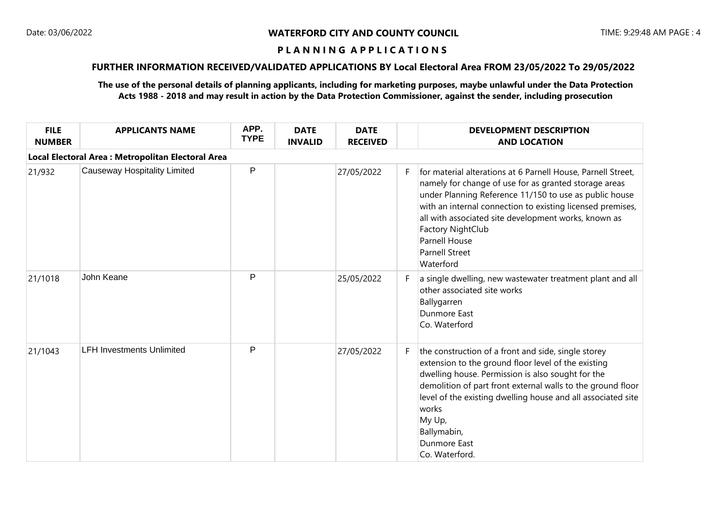# **FURTHER INFORMATION RECEIVED/VALIDATED APPLICATIONS BY Local Electoral Area FROM 23/05/2022 To 29/05/2022**

| <b>FILE</b><br><b>NUMBER</b>                       | <b>APPLICANTS NAME</b>              | APP.<br><b>TYPE</b> | <b>DATE</b><br><b>INVALID</b> | <b>DATE</b><br><b>RECEIVED</b> |    | <b>DEVELOPMENT DESCRIPTION</b><br><b>AND LOCATION</b>                                                                                                                                                                                                                                                                                                                                    |  |  |  |
|----------------------------------------------------|-------------------------------------|---------------------|-------------------------------|--------------------------------|----|------------------------------------------------------------------------------------------------------------------------------------------------------------------------------------------------------------------------------------------------------------------------------------------------------------------------------------------------------------------------------------------|--|--|--|
| Local Electoral Area : Metropolitan Electoral Area |                                     |                     |                               |                                |    |                                                                                                                                                                                                                                                                                                                                                                                          |  |  |  |
| 21/932                                             | <b>Causeway Hospitality Limited</b> | P                   |                               | 27/05/2022                     | F. | for material alterations at 6 Parnell House, Parnell Street,<br>namely for change of use for as granted storage areas<br>under Planning Reference 11/150 to use as public house<br>with an internal connection to existing licensed premises,<br>all with associated site development works, known as<br>Factory NightClub<br><b>Parnell House</b><br><b>Parnell Street</b><br>Waterford |  |  |  |
| 21/1018                                            | John Keane                          | P                   |                               | 25/05/2022                     | F. | a single dwelling, new wastewater treatment plant and all<br>other associated site works<br>Ballygarren<br>Dunmore East<br>Co. Waterford                                                                                                                                                                                                                                                 |  |  |  |
| 21/1043                                            | <b>LFH Investments Unlimited</b>    | P                   |                               | 27/05/2022                     | F. | the construction of a front and side, single storey<br>extension to the ground floor level of the existing<br>dwelling house. Permission is also sought for the<br>demolition of part front external walls to the ground floor<br>level of the existing dwelling house and all associated site<br>works<br>My Up,<br>Ballymabin,<br>Dunmore East<br>Co. Waterford.                       |  |  |  |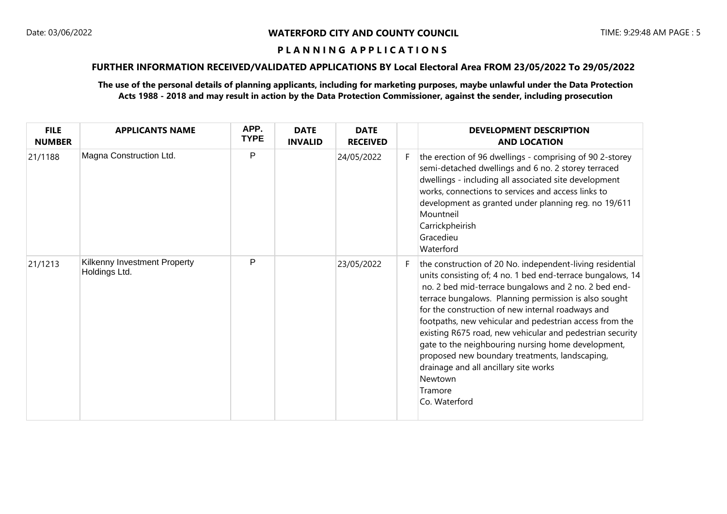# **FURTHER INFORMATION RECEIVED/VALIDATED APPLICATIONS BY Local Electoral Area FROM 23/05/2022 To 29/05/2022**

| <b>FILE</b><br><b>NUMBER</b> | <b>APPLICANTS NAME</b>                        | APP.<br><b>TYPE</b> | <b>DATE</b><br><b>INVALID</b> | <b>DATE</b><br><b>RECEIVED</b> |    | <b>DEVELOPMENT DESCRIPTION</b><br><b>AND LOCATION</b>                                                                                                                                                                                                                                                                                                                                                                                                                                                                                                                                                         |
|------------------------------|-----------------------------------------------|---------------------|-------------------------------|--------------------------------|----|---------------------------------------------------------------------------------------------------------------------------------------------------------------------------------------------------------------------------------------------------------------------------------------------------------------------------------------------------------------------------------------------------------------------------------------------------------------------------------------------------------------------------------------------------------------------------------------------------------------|
| 21/1188                      | Magna Construction Ltd.                       | P                   |                               | 24/05/2022                     | F. | the erection of 96 dwellings - comprising of 90 2-storey<br>semi-detached dwellings and 6 no. 2 storey terraced<br>dwellings - including all associated site development<br>works, connections to services and access links to<br>development as granted under planning reg. no 19/611<br>Mountneil<br>Carrickpheirish<br>Gracedieu<br>Waterford                                                                                                                                                                                                                                                              |
| 21/1213                      | Kilkenny Investment Property<br>Holdings Ltd. | P                   |                               | 23/05/2022                     | F. | the construction of 20 No. independent-living residential<br>units consisting of; 4 no. 1 bed end-terrace bungalows, 14<br>no. 2 bed mid-terrace bungalows and 2 no. 2 bed end-<br>terrace bungalows. Planning permission is also sought<br>for the construction of new internal roadways and<br>footpaths, new vehicular and pedestrian access from the<br>existing R675 road, new vehicular and pedestrian security<br>gate to the neighbouring nursing home development,<br>proposed new boundary treatments, landscaping,<br>drainage and all ancillary site works<br>Newtown<br>Tramore<br>Co. Waterford |